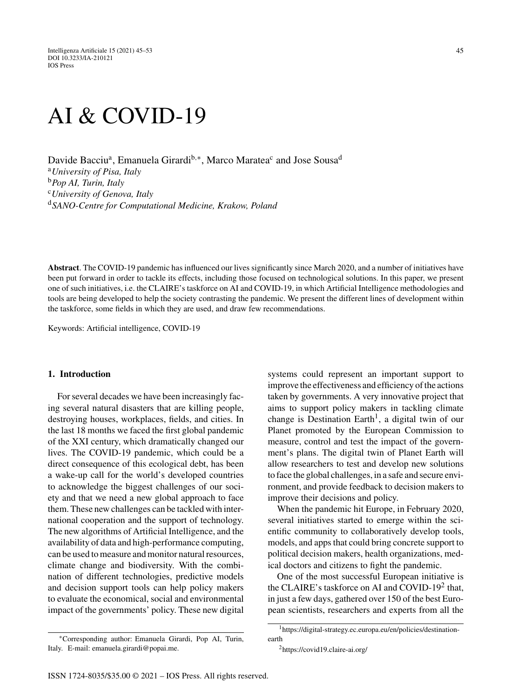# AI & COVID-19

Davide Bacciu<sup>a</sup>, Emanuela Girardi<sup>b,∗</sup>, Marco Maratea<sup>c</sup> and Jose Sousa<sup>d</sup> <sup>a</sup>*University of Pisa, Italy* <sup>b</sup>*Pop AI, Turin, Italy* <sup>c</sup>*University of Genova, Italy* <sup>d</sup>*SANO-Centre for Computational Medicine, Krakow, Poland*

**Abstract**. The COVID-19 pandemic has influenced our lives significantly since March 2020, and a number of initiatives have been put forward in order to tackle its effects, including those focused on technological solutions. In this paper, we present one of such initiatives, i.e. the CLAIRE's taskforce on AI and COVID-19, in which Artificial Intelligence methodologies and tools are being developed to help the society contrasting the pandemic. We present the different lines of development within the taskforce, some fields in which they are used, and draw few recommendations.

Keywords: Artificial intelligence, COVID-19

#### **1. Introduction**

For several decades we have been increasingly facing several natural disasters that are killing people, destroying houses, workplaces, fields, and cities. In the last 18 months we faced the first global pandemic of the XXI century, which dramatically changed our lives. The COVID-19 pandemic, which could be a direct consequence of this ecological debt, has been a wake-up call for the world's developed countries to acknowledge the biggest challenges of our society and that we need a new global approach to face them. These new challenges can be tackled with international cooperation and the support of technology. The new algorithms of Artificial Intelligence, and the availability of data and high-performance computing, can be used to measure and monitor natural resources, climate change and biodiversity. With the combination of different technologies, predictive models and decision support tools can help policy makers to evaluate the economical, social and environmental impact of the governments' policy. These new digital

∗Corresponding author: Emanuela Girardi, Pop AI, Turin, Italy. E-mail: [emanuela.girardi@popai.me.](mailto:emanuela.girardi@popai.me)

systems could represent an important support to improve the effectiveness and efficiency of the actions taken by governments. A very innovative project that aims to support policy makers in tackling climate change is Destination Earth<sup>1</sup>, a digital twin of our Planet promoted by the European Commission to measure, control and test the impact of the government's plans. The digital twin of Planet Earth will allow researchers to test and develop new solutions to face the global challenges, in a safe and secure environment, and provide feedback to decision makers to improve their decisions and policy.

When the pandemic hit Europe, in February 2020, several initiatives started to emerge within the scientific community to collaboratively develop tools, models, and apps that could bring concrete support to political decision makers, health organizations, medical doctors and citizens to fight the pandemic.

One of the most successful European initiative is the CLAIRE's taskforce on AI and COVID-19<sup>2</sup> that, in just a few days, gathered over 150 of the best European scientists, researchers and experts from all the

<sup>1</sup>[https://digital-strategy.ec.europa.eu/en/policies/destination](https://digital-strategy.ec.europa.eu/en/policies/destination-earth)earth

<sup>2</sup>[https://covid19.claire-ai.org/](https://covid19.claire-ai.org/ )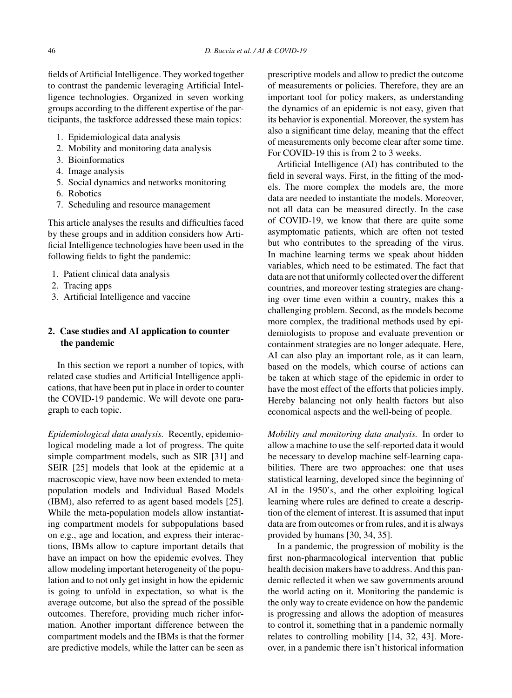fields of Artificial Intelligence. They worked together to contrast the pandemic leveraging Artificial Intelligence technologies. Organized in seven working groups according to the different expertise of the participants, the taskforce addressed these main topics:

- 1. Epidemiological data analysis
- 2. Mobility and monitoring data analysis
- 3. Bioinformatics
- 4. Image analysis
- 5. Social dynamics and networks monitoring
- 6. Robotics
- 7. Scheduling and resource management

This article analyses the results and difficulties faced by these groups and in addition considers how Artificial Intelligence technologies have been used in the following fields to fight the pandemic:

- 1. Patient clinical data analysis
- 2. Tracing apps
- 3. Artificial Intelligence and vaccine

## **2. Case studies and AI application to counter the pandemic**

In this section we report a number of topics, with related case studies and Artificial Intelligence applications, that have been put in place in order to counter the COVID-19 pandemic. We will devote one paragraph to each topic.

*Epidemiological data analysis.* Recently, epidemiological modeling made a lot of progress. The quite simple compartment models, such as SIR [31] and SEIR [25] models that look at the epidemic at a macroscopic view, have now been extended to metapopulation models and Individual Based Models (IBM), also referred to as agent based models [25]. While the meta-population models allow instantiating compartment models for subpopulations based on e.g., age and location, and express their interactions, IBMs allow to capture important details that have an impact on how the epidemic evolves. They allow modeling important heterogeneity of the population and to not only get insight in how the epidemic is going to unfold in expectation, so what is the average outcome, but also the spread of the possible outcomes. Therefore, providing much richer information. Another important difference between the compartment models and the IBMs is that the former are predictive models, while the latter can be seen as

prescriptive models and allow to predict the outcome of measurements or policies. Therefore, they are an important tool for policy makers, as understanding the dynamics of an epidemic is not easy, given that its behavior is exponential. Moreover, the system has also a significant time delay, meaning that the effect of measurements only become clear after some time. For COVID-19 this is from 2 to 3 weeks.

Artificial Intelligence (AI) has contributed to the field in several ways. First, in the fitting of the models. The more complex the models are, the more data are needed to instantiate the models. Moreover, not all data can be measured directly. In the case of COVID-19, we know that there are quite some asymptomatic patients, which are often not tested but who contributes to the spreading of the virus. In machine learning terms we speak about hidden variables, which need to be estimated. The fact that data are not that uniformly collected over the different countries, and moreover testing strategies are changing over time even within a country, makes this a challenging problem. Second, as the models become more complex, the traditional methods used by epidemiologists to propose and evaluate prevention or containment strategies are no longer adequate. Here, AI can also play an important role, as it can learn, based on the models, which course of actions can be taken at which stage of the epidemic in order to have the most effect of the efforts that policies imply. Hereby balancing not only health factors but also economical aspects and the well-being of people.

*Mobility and monitoring data analysis.* In order to allow a machine to use the self-reported data it would be necessary to develop machine self-learning capabilities. There are two approaches: one that uses statistical learning, developed since the beginning of AI in the 1950's, and the other exploiting logical learning where rules are defined to create a description of the element of interest. It is assumed that input data are from outcomes or from rules, and it is always provided by humans [30, 34, 35].

In a pandemic, the progression of mobility is the first non-pharmacological intervention that public health decision makers have to address. And this pandemic reflected it when we saw governments around the world acting on it. Monitoring the pandemic is the only way to create evidence on how the pandemic is progressing and allows the adoption of measures to control it, something that in a pandemic normally relates to controlling mobility [14, 32, 43]. Moreover, in a pandemic there isn't historical information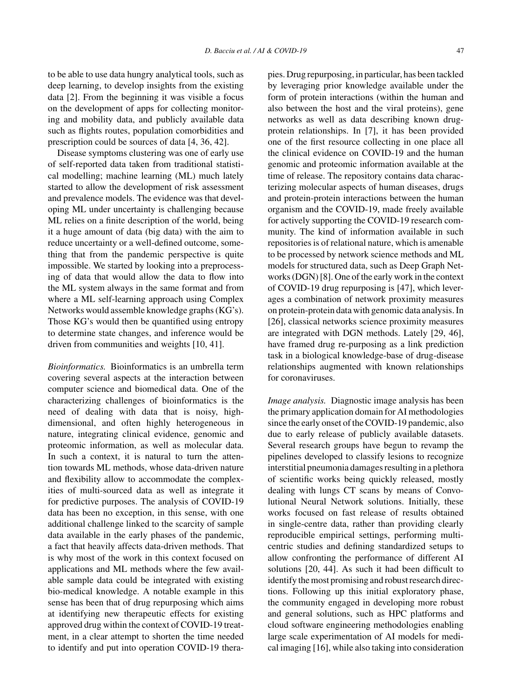to be able to use data hungry analytical tools, such as deep learning, to develop insights from the existing data [2]. From the beginning it was visible a focus on the development of apps for collecting monitoring and mobility data, and publicly available data such as flights routes, population comorbidities and prescription could be sources of data [4, 36, 42].

Disease symptoms clustering was one of early use of self-reported data taken from traditional statistical modelling; machine learning (ML) much lately started to allow the development of risk assessment and prevalence models. The evidence was that developing ML under uncertainty is challenging because ML relies on a finite description of the world, being it a huge amount of data (big data) with the aim to reduce uncertainty or a well-defined outcome, something that from the pandemic perspective is quite impossible. We started by looking into a preprocessing of data that would allow the data to flow into the ML system always in the same format and from where a ML self-learning approach using Complex Networks would assemble knowledge graphs (KG's). Those KG's would then be quantified using entropy to determine state changes, and inference would be driven from communities and weights [10, 41].

*Bioinformatics.* Bioinformatics is an umbrella term covering several aspects at the interaction between computer science and biomedical data. One of the characterizing challenges of bioinformatics is the need of dealing with data that is noisy, highdimensional, and often highly heterogeneous in nature, integrating clinical evidence, genomic and proteomic information, as well as molecular data. In such a context, it is natural to turn the attention towards ML methods, whose data-driven nature and flexibility allow to accommodate the complexities of multi-sourced data as well as integrate it for predictive purposes. The analysis of COVID-19 data has been no exception, in this sense, with one additional challenge linked to the scarcity of sample data available in the early phases of the pandemic, a fact that heavily affects data-driven methods. That is why most of the work in this context focused on applications and ML methods where the few available sample data could be integrated with existing bio-medical knowledge. A notable example in this sense has been that of drug repurposing which aims at identifying new therapeutic effects for existing approved drug within the context of COVID-19 treatment, in a clear attempt to shorten the time needed to identify and put into operation COVID-19 therapies. Drug repurposing, in particular, has been tackled by leveraging prior knowledge available under the form of protein interactions (within the human and also between the host and the viral proteins), gene networks as well as data describing known drugprotein relationships. In [7], it has been provided one of the first resource collecting in one place all the clinical evidence on COVID-19 and the human genomic and proteomic information available at the time of release. The repository contains data characterizing molecular aspects of human diseases, drugs and protein-protein interactions between the human organism and the COVID-19, made freely available for actively supporting the COVID-19 research community. The kind of information available in such repositories is of relational nature, which is amenable to be processed by network science methods and ML models for structured data, such as Deep Graph Networks (DGN) [8]. One of the early work in the context of COVID-19 drug repurposing is [47], which leverages a combination of network proximity measures on protein-protein data with genomic data analysis. In [26], classical networks science proximity measures are integrated with DGN methods. Lately [29, 46], have framed drug re-purposing as a link prediction task in a biological knowledge-base of drug-disease relationships augmented with known relationships for coronaviruses.

*Image analysis.* Diagnostic image analysis has been the primary application domain for AI methodologies since the early onset of the COVID-19 pandemic, also due to early release of publicly available datasets. Several research groups have begun to revamp the pipelines developed to classify lesions to recognize interstitial pneumonia damages resulting in a plethora of scientific works being quickly released, mostly dealing with lungs CT scans by means of Convolutional Neural Network solutions. Initially, these works focused on fast release of results obtained in single-centre data, rather than providing clearly reproducible empirical settings, performing multicentric studies and defining standardized setups to allow confronting the performance of different AI solutions [20, 44]. As such it had been difficult to identify the most promising and robust research directions. Following up this initial exploratory phase, the community engaged in developing more robust and general solutions, such as HPC platforms and cloud software engineering methodologies enabling large scale experimentation of AI models for medical imaging [16], while also taking into consideration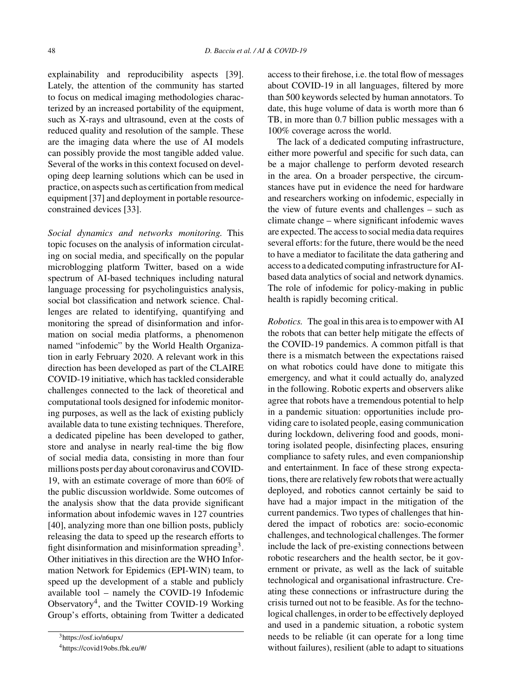explainability and reproducibility aspects [39]. Lately, the attention of the community has started to focus on medical imaging methodologies characterized by an increased portability of the equipment, such as X-rays and ultrasound, even at the costs of reduced quality and resolution of the sample. These are the imaging data where the use of AI models can possibly provide the most tangible added value. Several of the works in this context focused on developing deep learning solutions which can be used in practice, on aspects such as certification from medical equipment [37] and deployment in portable resourceconstrained devices [33].

*Social dynamics and networks monitoring.* This topic focuses on the analysis of information circulating on social media, and specifically on the popular microblogging platform Twitter, based on a wide spectrum of AI-based techniques including natural language processing for psycholinguistics analysis, social bot classification and network science. Challenges are related to identifying, quantifying and monitoring the spread of disinformation and information on social media platforms, a phenomenon named "infodemic" by the World Health Organization in early February 2020. A relevant work in this direction has been developed as part of the CLAIRE COVID-19 initiative, which has tackled considerable challenges connected to the lack of theoretical and computational tools designed for infodemic monitoring purposes, as well as the lack of existing publicly available data to tune existing techniques. Therefore, a dedicated pipeline has been developed to gather, store and analyse in nearly real-time the big flow of social media data, consisting in more than four millions posts per day about coronavirus and COVID-19, with an estimate coverage of more than 60% of the public discussion worldwide. Some outcomes of the analysis show that the data provide significant information about infodemic waves in 127 countries [40], analyzing more than one billion posts, publicly releasing the data to speed up the research efforts to fight disinformation and misinformation spreading<sup>3</sup>. Other initiatives in this direction are the WHO Information Network for Epidemics (EPI-WIN) team, to speed up the development of a stable and publicly available tool – namely the COVID-19 Infodemic Observatory4, and the Twitter COVID-19 Working Group's efforts, obtaining from Twitter a dedicated

<sup>3</sup><https://osf.io/n6upx/> 4<https://covid19obs.fbk.eu/#/> access to their firehose, i.e. the total flow of messages about COVID-19 in all languages, filtered by more than 500 keywords selected by human annotators. To date, this huge volume of data is worth more than 6 TB, in more than 0.7 billion public messages with a 100% coverage across the world.

The lack of a dedicated computing infrastructure, either more powerful and specific for such data, can be a major challenge to perform devoted research in the area. On a broader perspective, the circumstances have put in evidence the need for hardware and researchers working on infodemic, especially in the view of future events and challenges – such as climate change – where significant infodemic waves are expected. The access to social media data requires several efforts: for the future, there would be the need to have a mediator to facilitate the data gathering and access to a dedicated computing infrastructure for AIbased data analytics of social and network dynamics. The role of infodemic for policy-making in public health is rapidly becoming critical.

*Robotics.* The goal in this area is to empower with AI the robots that can better help mitigate the effects of the COVID-19 pandemics. A common pitfall is that there is a mismatch between the expectations raised on what robotics could have done to mitigate this emergency, and what it could actually do, analyzed in the following. Robotic experts and observers alike agree that robots have a tremendous potential to help in a pandemic situation: opportunities include providing care to isolated people, easing communication during lockdown, delivering food and goods, monitoring isolated people, disinfecting places, ensuring compliance to safety rules, and even companionship and entertainment. In face of these strong expectations, there are relatively few robots that were actually deployed, and robotics cannot certainly be said to have had a major impact in the mitigation of the current pandemics. Two types of challenges that hindered the impact of robotics are: socio-economic challenges, and technological challenges. The former include the lack of pre-existing connections between robotic researchers and the health sector, be it government or private, as well as the lack of suitable technological and organisational infrastructure. Creating these connections or infrastructure during the crisis turned out not to be feasible. As for the technological challenges, in order to be effectively deployed and used in a pandemic situation, a robotic system needs to be reliable (it can operate for a long time without failures), resilient (able to adapt to situations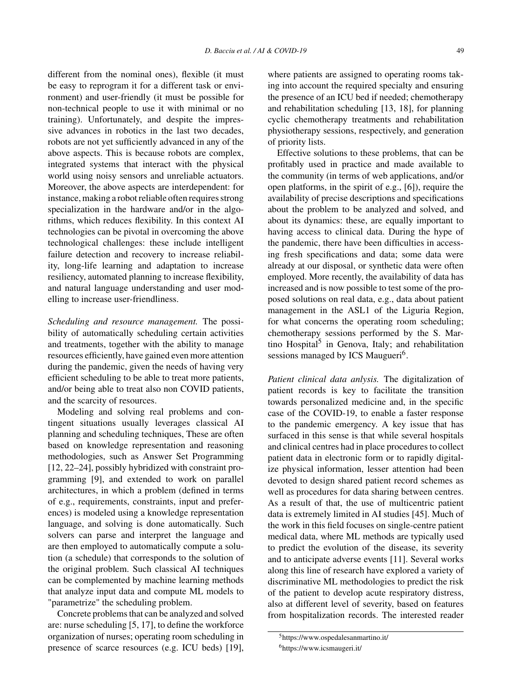different from the nominal ones), flexible (it must be easy to reprogram it for a different task or environment) and user-friendly (it must be possible for non-technical people to use it with minimal or no training). Unfortunately, and despite the impressive advances in robotics in the last two decades, robots are not yet sufficiently advanced in any of the above aspects. This is because robots are complex, integrated systems that interact with the physical world using noisy sensors and unreliable actuators. Moreover, the above aspects are interdependent: for instance, making a robot reliable often requires strong specialization in the hardware and/or in the algorithms, which reduces flexibility. In this context AI technologies can be pivotal in overcoming the above

technological challenges: these include intelligent failure detection and recovery to increase reliability, long-life learning and adaptation to increase resiliency, automated planning to increase flexibility, and natural language understanding and user modelling to increase user-friendliness.

*Scheduling and resource management.* The possibility of automatically scheduling certain activities and treatments, together with the ability to manage resources efficiently, have gained even more attention during the pandemic, given the needs of having very efficient scheduling to be able to treat more patients, and/or being able to treat also non COVID patients, and the scarcity of resources.

Modeling and solving real problems and contingent situations usually leverages classical AI planning and scheduling techniques, These are often based on knowledge representation and reasoning methodologies, such as Answer Set Programming [12, 22–24], possibly hybridized with constraint programming [9], and extended to work on parallel architectures, in which a problem (defined in terms of e.g., requirements, constraints, input and preferences) is modeled using a knowledge representation language, and solving is done automatically. Such solvers can parse and interpret the language and are then employed to automatically compute a solution (a schedule) that corresponds to the solution of the original problem. Such classical AI techniques can be complemented by machine learning methods that analyze input data and compute ML models to "parametrize" the scheduling problem.

Concrete problems that can be analyzed and solved are: nurse scheduling [5, 17], to define the workforce organization of nurses; operating room scheduling in presence of scarce resources (e.g. ICU beds) [19], where patients are assigned to operating rooms taking into account the required specialty and ensuring the presence of an ICU bed if needed; chemotherapy and rehabilitation scheduling [13, 18], for planning cyclic chemotherapy treatments and rehabilitation physiotherapy sessions, respectively, and generation of priority lists.

Effective solutions to these problems, that can be profitably used in practice and made available to the community (in terms of web applications, and/or open platforms, in the spirit of e.g., [6]), require the availability of precise descriptions and specifications about the problem to be analyzed and solved, and about its dynamics: these, are equally important to having access to clinical data. During the hype of the pandemic, there have been difficulties in accessing fresh specifications and data; some data were already at our disposal, or synthetic data were often employed. More recently, the availability of data has increased and is now possible to test some of the proposed solutions on real data, e.g., data about patient management in the ASL1 of the Liguria Region, for what concerns the operating room scheduling; chemotherapy sessions performed by the S. Martino Hospital<sup>5</sup> in Genova, Italy; and rehabilitation sessions managed by ICS Maugueri<sup>6</sup>.

*Patient clinical data anlysis.* The digitalization of patient records is key to facilitate the transition towards personalized medicine and, in the specific case of the COVID-19, to enable a faster response to the pandemic emergency. A key issue that has surfaced in this sense is that while several hospitals and clinical centres had in place procedures to collect patient data in electronic form or to rapidly digitalize physical information, lesser attention had been devoted to design shared patient record schemes as well as procedures for data sharing between centres. As a result of that, the use of multicentric patient data is extremely limited in AI studies [45]. Much of the work in this field focuses on single-centre patient medical data, where ML methods are typically used to predict the evolution of the disease, its severity and to anticipate adverse events [11]. Several works along this line of research have explored a variety of discriminative ML methodologies to predict the risk of the patient to develop acute respiratory distress, also at different level of severity, based on features from hospitalization records. The interested reader

<sup>5</sup><https://www.ospedalesanmartino.it/> 6<https://www.icsmaugeri.it/>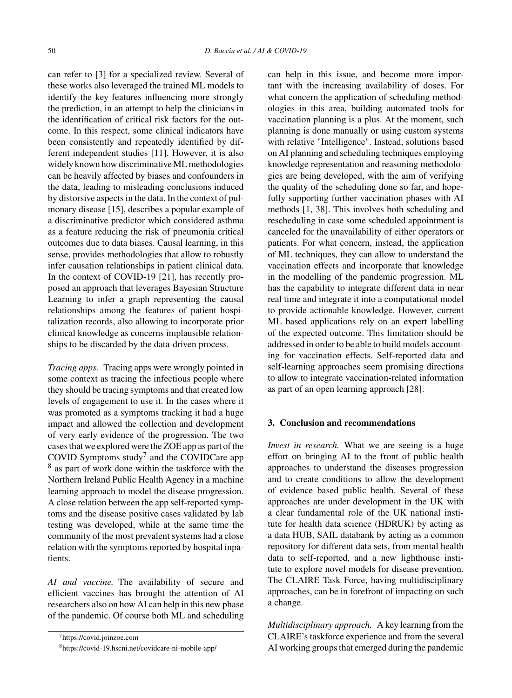can refer to [3] for a specialized review. Several of these works also leveraged the trained ML models to identify the key features influencing more strongly the prediction, in an attempt to help the clinicians in the identification of critical risk factors for the outcome. In this respect, some clinical indicators have been consistently and repeatedly identified by different independent studies [11]. However, it is also widely known how discriminative ML methodologies can be heavily affected by biases and confounders in the data, leading to misleading conclusions induced by distorsive aspects in the data. In the context of pulmonary disease [15], describes a popular example of a discriminative predictor which considered asthma as a feature reducing the risk of pneumonia critical outcomes due to data biases. Causal learning, in this sense, provides methodologies that allow to robustly infer causation relationships in patient clinical data. In the context of COVID-19 [21], has recently proposed an approach that leverages Bayesian Structure Learning to infer a graph representing the causal relationships among the features of patient hospitalization records, also allowing to incorporate prior clinical knowledge as concerns implausible relationships to be discarded by the data-driven process.

*Tracing apps.* Tracing apps were wrongly pointed in some context as tracing the infectious people where they should be tracing symptoms and that created low levels of engagement to use it. In the cases where it was promoted as a symptoms tracking it had a huge impact and allowed the collection and development of very early evidence of the progression. The two cases that we explored were the ZOE app as part of the COVID Symptoms study<sup>7</sup> and the COVIDCare app <sup>8</sup> as part of work done within the taskforce with the Northern Ireland Public Health Agency in a machine learning approach to model the disease progression. A close relation between the app self-reported symptoms and the disease positive cases validated by lab testing was developed, while at the same time the community of the most prevalent systems had a close relation with the symptoms reported by hospital inpatients.

*AI and vaccine.* The availability of secure and efficient vaccines has brought the attention of AI researchers also on how AI can help in this new phase of the pandemic. Of course both ML and scheduling

can help in this issue, and become more important with the increasing availability of doses. For what concern the application of scheduling methodologies in this area, building automated tools for vaccination planning is a plus. At the moment, such planning is done manually or using custom systems with relative "Intelligence". Instead, solutions based on AI planning and scheduling techniques employing knowledge representation and reasoning methodologies are being developed, with the aim of verifying the quality of the scheduling done so far, and hopefully supporting further vaccination phases with AI methods [1, 38]. This involves both scheduling and rescheduling in case some scheduled appointment is canceled for the unavailability of either operators or patients. For what concern, instead, the application of ML techniques, they can allow to understand the vaccination effects and incorporate that knowledge in the modelling of the pandemic progression. ML has the capability to integrate different data in near real time and integrate it into a computational model to provide actionable knowledge. However, current ML based applications rely on an expert labelling of the expected outcome. This limitation should be addressed in order to be able to build models accounting for vaccination effects. Self-reported data and self-learning approaches seem promising directions to allow to integrate vaccination-related information as part of an open learning approach [28].

## **3. Conclusion and recommendations**

*Invest in research.* What we are seeing is a huge effort on bringing AI to the front of public health approaches to understand the diseases progression and to create conditions to allow the development of evidence based public health. Several of these approaches are under development in the UK with a clear fundamental role of the UK national institute for health data science (HDRUK) by acting as a data HUB, SAIL databank by acting as a common repository for different data sets, from mental health data to self-reported, and a new lighthouse institute to explore novel models for disease prevention. The CLAIRE Task Force, having multidisciplinary approaches, can be in forefront of impacting on such a change.

*Multidisciplinary approach.* A key learning from the CLAIRE's taskforce experience and from the several AI working groups that emerged during the pandemic

<sup>7</sup><https://covid.joinzoe.com> 8<https://covid-19.hscni.net/covidcare-ni-mobile-app/>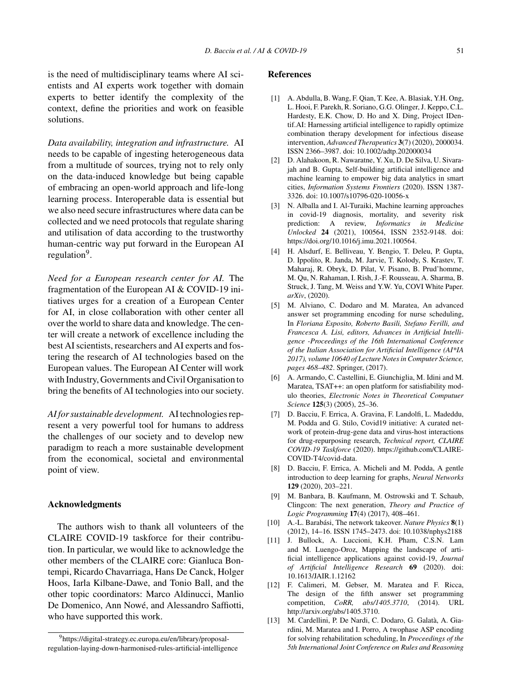is the need of multidisciplinary teams where AI scientists and AI experts work together with domain experts to better identify the complexity of the context, define the priorities and work on feasible solutions.

*Data availability, integration and infrastructure.* AI needs to be capable of ingesting heterogeneous data from a multitude of sources, trying not to rely only on the data-induced knowledge but being capable of embracing an open-world approach and life-long learning process. Interoperable data is essential but we also need secure infrastructures where data can be collected and we need protocols that regulate sharing and utilisation of data according to the trustworthy human-centric way put forward in the European AI regulation<sup>9</sup>.

*Need for a European research center for AI.* The fragmentation of the European AI & COVID-19 initiatives urges for a creation of a European Center for AI, in close collaboration with other center all over the world to share data and knowledge. The center will create a network of excellence including the best AI scientists, researchers and AI experts and fostering the research of AI technologies based on the European values. The European AI Center will work with Industry, Governments and Civil Organisation to bring the benefits of AI technologies into our society.

*AI for sustainable development.* AI technologies represent a very powerful tool for humans to address the challenges of our society and to develop new paradigm to reach a more sustainable development from the economical, societal and environmental point of view.

#### **Acknowledgments**

The authors wish to thank all volunteers of the CLAIRE COVID-19 taskforce for their contribution. In particular, we would like to acknowledge the other members of the CLAIRE core: Gianluca Bontempi, Ricardo Chavarriaga, Hans De Canck, Holger Hoos, Iarla Kilbane-Dawe, and Tonio Ball, and the other topic coordinators: Marco Aldinucci, Manlio De Domenico, Ann Nowé, and Alessandro Saffiotti, who have supported this work.

### **References**

- [1] A. Abdulla, B. Wang, F. Qian, T. Kee, A. Blasiak, Y.H. Ong, L. Hooi, F. Parekh, R. Soriano, G.G. Olinger, J. Keppo, C.L. Hardesty, E.K. Chow, D. Ho and X. Ding, Project IDentif.AI: Harnessing artificial intelligence to rapidly optimize combination therapy development for infectious disease intervention, *Advanced Therapeutics* **3**(7) (2020), 2000034. ISSN 2366–3987. doi: 10.1002/adtp.202000034
- [2] D. Alahakoon, R. Nawaratne, Y. Xu, D. De Silva, U. Sivarajah and B. Gupta, Self-building artificial intelligence and machine learning to empower big data analytics in smart cities, *Information Systems Frontiers* (2020). ISSN 1387- 3326. doi: 10.1007/s10796-020-10056-x
- [3] N. Alballa and I. Al-Turaiki, Machine learning approaches in covid-19 diagnosis, mortality, and severity risk prediction: A review, *Informatics in Medicine Unlocked* **24** (2021), 100564, ISSN 2352-9148. doi: <https://doi.org/10.1016/j.imu.2021.100564>.
- [4] H. Alsdurf, E. Belliveau, Y. Bengio, T. Deleu, P. Gupta, D. Ippolito, R. Janda, M. Jarvie, T. Kolody, S. Krastev, T. Maharaj, R. Obryk, D. Pilat, V. Pisano, B. Prud'homme, M. Qu, N. Rahaman, I. Rish, J.-F. Rousseau, A. Sharma, B. Struck, J. Tang, M. Weiss and Y.W. Yu, COVI White Paper. *arXiv*, (2020).
- [5] M. Alviano, C. Dodaro and M. Maratea, An advanced answer set programming encoding for nurse scheduling, In *Floriana Esposito, Roberto Basili, Stefano Ferilli, and Francesca A. Lisi, editors, Advances in Artificial Intelligence -Proceedings of the 16th International Conference of the Italian Association for Artificial Intelligence (AI\*IA 2017), volume 10640 of Lecture Notes in Computer Science, pages 468–482*. Springer, (2017).
- [6] A. Armando, C. Castellini, E. Giunchiglia, M. Idini and M. Maratea, TSAT++: an open platform for satisfiability modulo theories, *Electronic Notes in Theoretical Computuer Science* **125**(3) (2005), 25–36.
- [7] D. Bacciu, F. Errica, A. Gravina, F. Landolfi, L. Madeddu, M. Podda and G. Stilo, Covid19 initiative: A curated network of protein-drug-gene data and virus-host interactions for drug-repurposing research, *Technical report, CLAIRE COVID-19 Taskforce* (2020). [https://github.com/CLAIRE-](https://github.com/CLAIRE-COVID-T4/covid-data)COVID-T4/covid-data.
- [8] D. Bacciu, F. Errica, A. Micheli and M. Podda, A gentle introduction to deep learning for graphs, *Neural Networks* **129** (2020), 203–221.
- [9] M. Banbara, B. Kaufmann, M. Ostrowski and T. Schaub, Clingcon: The next generation, *Theory and Practice of Logic Programming* **17**(4) (2017), 408–461.
- [10] A.-L. Barabási, The network takeover. *Nature Physics* **8**(1) (2012), 14–16. ISSN 1745–2473. doi: 10.1038/nphys2188
- [11] J. Bullock, A. Luccioni, K.H. Pham, C.S.N. Lam and M. Luengo-Oroz, Mapping the landscape of artificial intelligence applications against covid-19, *Journal of Artificial Intelligence Research* **69** (2020). doi: 10.1613/JAIR.1.12162
- [12] F. Calimeri, M. Gebser, M. Maratea and F. Ricca, The design of the fifth answer set programming competition, *CoRR, abs/1405.3710*, (2014). URL [http://arxiv.org/abs/1405.3710.](http://arxiv.org/abs/1405.3710)
- [13] M. Cardellini, P. De Nardi, C. Dodaro, G. Galatà, A. Giardini, M. Maratea and I. Porro, A twophase ASP encoding for solving rehabilitation scheduling, In *Proceedings of the 5th International Joint Conference on Rules and Reasoning*

<sup>9</sup>[https://digital-strategy.ec.europa.eu/en/library/proposal](https://digital-strategy.ec.europa.eu/en/library/proposal-regulation-laying-down-harmonised-rules-artificial-intelligence)regulation-laying-down-harmonised-rules-artificial-intelligence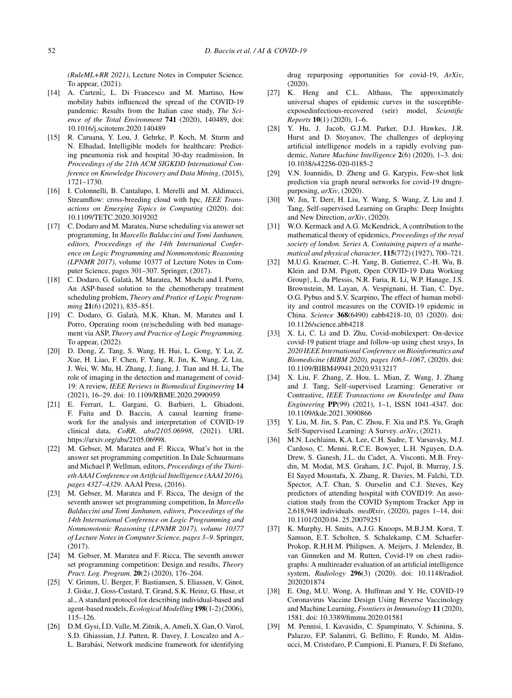*(RuleML+RR 2021)*, Lecture Notes in Computer Science. To appear, (2021).

- [14] A. Carteni;, L. Di Francesco and M. Martino, How mobility habits influenced the spread of the COVID-19 pandemic: Results from the Italian case study, *The Science of the Total Environment* **741** (2020), 140489, doi: 10.1016/j.scitotenv.2020.140489
- [15] R. Caruana, Y. Lou, J. Gehrke, P. Koch, M. Sturm and N. Elhadad, Intelligible models for healthcare: Predicting pneumonia risk and hospital 30-day readmission, In *Proceedings of the 21th ACM SIGKDD International Conference on Knowledge Discovery and Data Mining*, (2015), 1721–1730.
- [16] I. Colonnelli, B. Cantalupo, I. Merelli and M. Aldinucci, Streamflow: cross-breeding cloud with hpc, *IEEE Transactions on Emerging Topics in Computing* (2020). doi: 10.1109/TETC.2020.3019202
- [17] C. Dodaro and M. Maratea, Nurse scheduling via answer set programming, In *Marcello Balduccini and Tomi Janhunen, editors, Proceedings of the 14th International Conference on Logic Programming and Nonmonotonic Reasoning (LPNMR 2017)*, volume 10377 of Lecture Notes in Computer Science, pages 301–307. Springer, (2017).
- [18] C. Dodaro, G. Galatà, M. Maratea, M. Mochi and I. Porro, An ASP-based solution to the chemotherapy treatment scheduling problem, *Theory and Pratice of Logic Programming* **21**(6) (2021), 835–851.
- [19] C. Dodaro, G. Galatà, M.K. Khan, M. Maratea and I. Porro, Operating room (re)scheduling with bed management via ASP, *Theory and Practice of Logic Programming*. To appear, (2022).
- [20] D. Dong, Z. Tang, S. Wang, H. Hui, L. Gong, Y. Lu, Z. Xue, H. Liao, F. Chen, F. Yang, R. Jin, K. Wang, Z. Liu, J. Wei, W. Mu, H. Zhang, J. Jiang, J. Tian and H. Li, The role of imaging in the detection and management of covid-19: A review, *IEEE Reviews in Biomedical Engineering* **14** (2021), 16–29. doi: 10.1109/RBME.2020.2990959
- [21] E. Ferrari, L. Gargani, G. Barbieri, L. Ghiadoni, F. Faita and D. Bacciu, A causal learning framework for the analysis and interpretation of COVID-19 clinical data, *CoRR, abs/2105.06998*, (2021). URL <https://arxiv.org/abs/2105.06998>.
- [22] M. Gebser, M. Maratea and F. Ricca, What's hot in the answer set programming competition. In Dale Schuurmans and Michael P. Wellman, editors, *Proceedings of the Thirtieth AAAI Conference on Artificial Intelligence (AAAI 2016), pages 4327*–*4329*. AAAI Press, (2016).
- [23] M. Gebser, M. Maratea and F. Ricca, The design of the seventh answer set programming competition, In *Marcello Balduccini and Tomi Janhunen, editors, Proceedings of the 14th International Conference on Logic Programming and Nonmonotonic Reasoning (LPNMR 2017), volume 10377 of Lecture Notes in Computer Science, pages 3*–*9*. Springer, (2017).
- [24] M. Gebser, M. Maratea and F. Ricca, The seventh answer set programming competition: Design and results, *Theory Pract. Log. Program.* **20**(2) (2020), 176–204.
- [25] V. Grimm, U. Berger, F. Bastiansen, S. Eliassen, V. Ginot, J. Giske, J. Goss-Custard, T. Grand, S.K. Heinz, G. Huse, et al., A standard protocol for describing individual-based and agent-based models,*Ecological Modelling* **198**(1-2) (2006), 115–126.
- [26] D.M. Gysi, Í.D. Valle, M. Zitnik, A. Ameli, X. Gan, O. Varol, S.D. Ghiassian, J.J. Patten, R. Davey, J. Loscalzo and A.- L. Barabási, Network medicine framework for identifying

drug repurposing opportunities for covid-19, *ArXiv*, (2020).

- [27] K. Heng and C.L. Althaus, The approximately universal shapes of epidemic curves in the susceptibleexposedinfectious-recovered (seir) model, *Scientific Reports* **10**(1) (2020), 1–6.
- [28] Y. Hu, J. Jacob, G.J.M. Parker, D.J. Hawkes, J.R. Hurst and D. Stoyanov, The challenges of deploying artificial intelligence models in a rapidly evolving pandemic, *Nature Machine Intelligence* **2**(6) (2020), 1–3. doi: 10.1038/s42256-020-0185-2
- [29] V.N. Ioannidis, D. Zheng and G. Karypis, Few-shot link prediction via graph neural networks for covid-19 drugrepurposing, *arXiv*, (2020).
- [30] W. Jin, T. Derr, H. Liu, Y. Wang, S. Wang, Z. Liu and J. Tang, Self-supervised Learning on Graphs: Deep Insights and New Direction, *arXiv*, (2020).
- [31] W.O. Kermack and A.G. McKendrick, A contribution to the mathematical theory of epidemics, *Proceedings of the royal society of london. Series A, Containing papers of a mathematical and physical character*, **115**(772) (1927), 700–721.
- [32] M.U.G. Kraemer, C.-H. Yang, B. Gutierrez, C.-H. Wu, B. Klein and D.M. Pigott, Open COVID-19 Data Working Group†, L. du Plessis, N.R. Faria, R. Li, W.P. Hanage, J.S. Brownstein, M. Layan, A. Vespignani, H. Tian, C. Dye, O.G. Pybus and S.V. Scarpino, The effect of human mobility and control measures on the COVID-19 epidemic in China. *Science* **368**(6490) eabb4218-10, 03 (2020). doi: 10.1126/science.abb4218
- [33] X. Li, C. Li and D. Zhu, Covid-mobilexpert: On-device covid-19 patient triage and follow-up using chest xrays, In *2020 IEEE International Conference on Bioinformatics and Biomedicine (BIBM 2020), pages 1063–1067*, (2020). doi: 10.1109/BIBM49941.2020.9313217
- [34] X. Liu, F. Zhang, Z. Hou, L. Mian, Z. Wang, J. Zhang and J. Tang, Self-supervised Learning: Generative or Contrastive, *IEEE Transactions on Knowledge and Data Engineering* **PP**(99) (2021), 1–1, ISSN 1041-4347. doi: 10.1109/tkde.2021.3090866
- [35] Y. Liu, M. Jin, S. Pan, C. Zhou, F. Xia and P.S. Yu, Graph Self-Supervised Learning: A Survey. *arXiv*, (2021).
- [36] M.N. Lochlainn, K.A. Lee, C.H. Sudre, T. Varsavsky, M.J. Cardoso, C. Menni, R.C.E. Bowyer, L.H. Nguyen, D.A. Drew, S. Ganesh, J.L. du Cadet, A. Visconti, M.B. Freydin, M. Modat, M.S. Graham, J.C. Pujol, B. Murray, J.S. El Sayed Moustafa, X. Zhang, R. Davies, M. Falchi, T.D. Spector, A.T. Chan, S. Ourselin and C.J. Steves, Key predictors of attending hospital with COVID19: An association study from the COVID Symptom Tracker App in 2,618,948 individuals. *medRxiv*, (2020), pages 1–14, doi: 10.1101/2020.04. 25.20079251
- [37] K. Murphy, H. Smits, A.J.G. Knoops, M.B.J.M. Korst, T. Samson, E.T. Scholten, S. Schalekamp, C.M. Schaefer-Prokop, R.H.H.M. Philipsen, A. Meijers, J. Melendez, B. van Ginneken and M. Rutten, Covid-19 on chest radiographs: A multireader evaluation of an artificial intelligence system, *Radiology* **296**(3) (2020). doi: 10.1148/radiol. 2020201874
- [38] E. Ong, M.U. Wong, A. Huffman and Y. He, COVID-19 Coronavirus Vaccine Design Using Reverse Vaccinology and Machine Learning, *Frontiers in Immunology* **11** (2020), 1581. doi: 10.3389/fimmu.2020.01581
- [39] M. Pennisi, I. Kavasidis, C. Spampinato, V. Schinina, S. Palazzo, F.P. Salanitri, G. Bellitto, F. Rundo, M. Aldinucci, M. Cristofaro, P. Campioni, E. Pianura, F. Di Stefano,